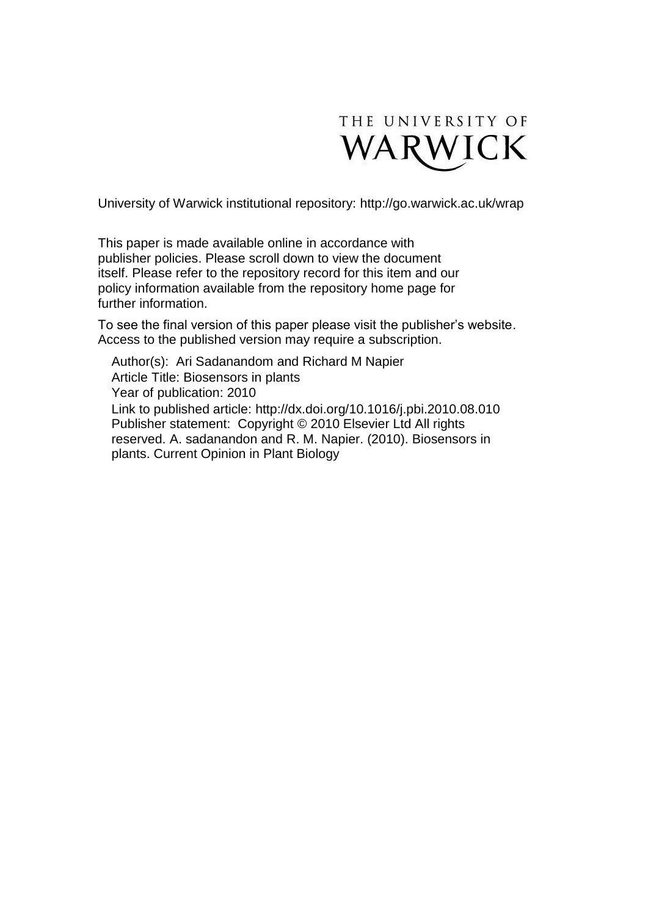

University of Warwick institutional repository:<http://go.warwick.ac.uk/wrap>

This paper is made available online in accordance with publisher policies. Please scroll down to view the document itself. Please refer to the repository record for this item and our policy information available from the repository home page for further information.

To see the final version of this paper please visit the publisher's website. Access to the published version may require a subscription.

Author(s): Ari Sadanandom and Richard M Napier Article Title: Biosensors in plants Year of publication: 2010 Link to published article: http://dx.doi.org/10.1016/j.pbi.2010.08.010 Publisher statement: Copyright © 2010 Elsevier Ltd All rights reserved. A. sadanandon and R. M. Napier. (2010). Biosensors in plants. [Current Opinion in Plant Biology](http://www.sciencedirect.com/science/journal/13695266)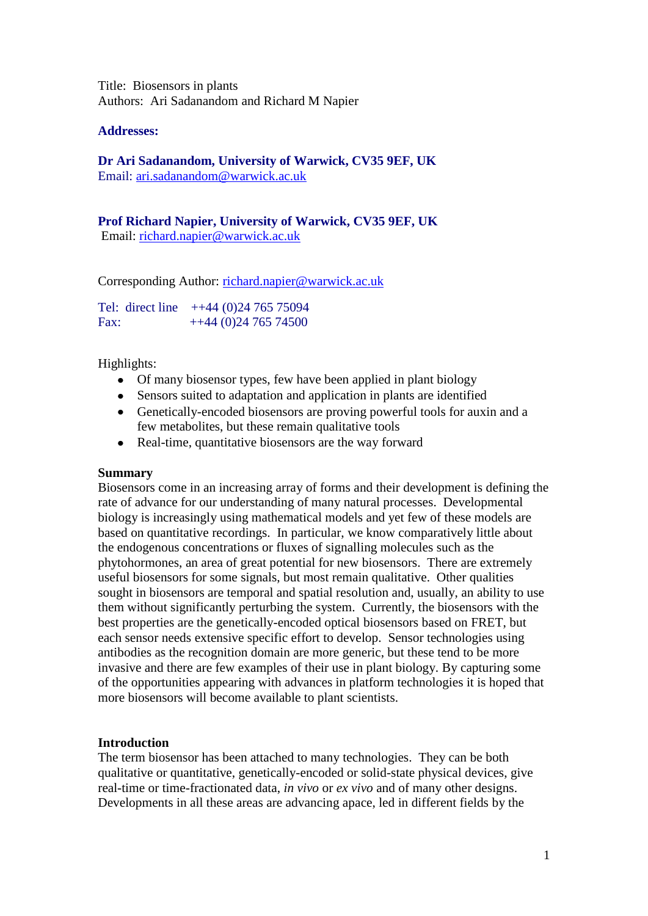Title: Biosensors in plants Authors: Ari Sadanandom and Richard M Napier

#### **Addresses:**

**Dr Ari Sadanandom, University of Warwick, CV35 9EF, UK** Email: [ari.sadanandom@warwick.ac.uk](mailto:ari.sadanandom@warwick.ac.uk)

# **Prof Richard Napier, University of Warwick, CV35 9EF, UK**

Email: [richard.napier@warwick.ac.uk](mailto:richard.napier@warwick.ac.uk)

Corresponding Author: [richard.napier@warwick.ac.uk](mailto:richard.napier@warwick.ac.uk)

| Tel: direct line | $+44$ (0)24 765 75094 |
|------------------|-----------------------|
| Fax:             | $+44$ (0)24 765 74500 |

Highlights:

- Of many biosensor types, few have been applied in plant biology
- Sensors suited to adaptation and application in plants are identified
- Genetically-encoded biosensors are proving powerful tools for auxin and a few metabolites, but these remain qualitative tools
- Real-time, quantitative biosensors are the way forward

## **Summary**

Biosensors come in an increasing array of forms and their development is defining the rate of advance for our understanding of many natural processes. Developmental biology is increasingly using mathematical models and yet few of these models are based on quantitative recordings. In particular, we know comparatively little about the endogenous concentrations or fluxes of signalling molecules such as the phytohormones, an area of great potential for new biosensors. There are extremely useful biosensors for some signals, but most remain qualitative. Other qualities sought in biosensors are temporal and spatial resolution and, usually, an ability to use them without significantly perturbing the system. Currently, the biosensors with the best properties are the genetically-encoded optical biosensors based on FRET, but each sensor needs extensive specific effort to develop. Sensor technologies using antibodies as the recognition domain are more generic, but these tend to be more invasive and there are few examples of their use in plant biology. By capturing some of the opportunities appearing with advances in platform technologies it is hoped that more biosensors will become available to plant scientists.

## **Introduction**

The term biosensor has been attached to many technologies. They can be both qualitative or quantitative, genetically-encoded or solid-state physical devices, give real-time or time-fractionated data, *in vivo* or *ex vivo* and of many other designs. Developments in all these areas are advancing apace, led in different fields by the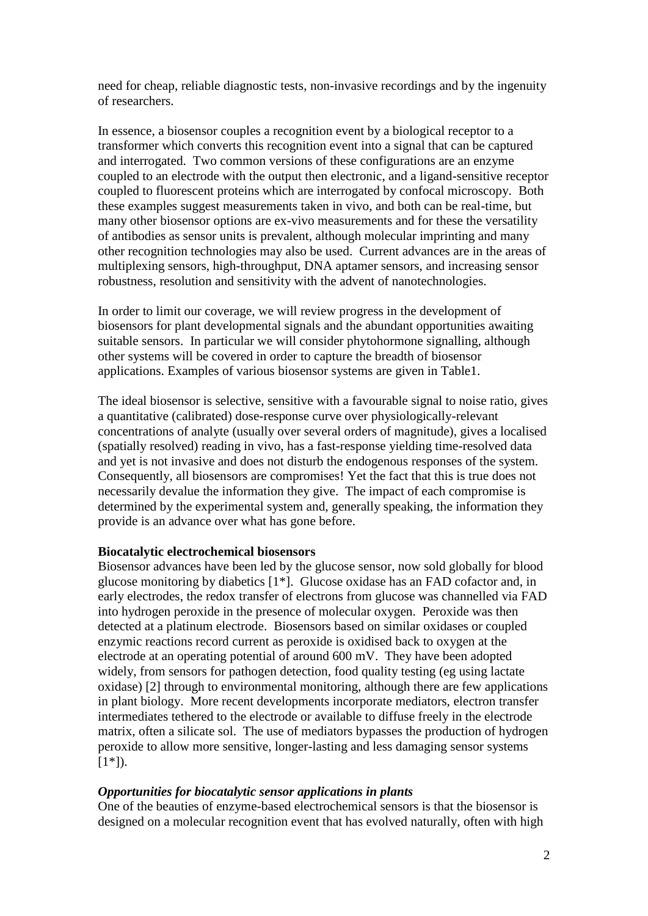need for cheap, reliable diagnostic tests, non-invasive recordings and by the ingenuity of researchers.

In essence, a biosensor couples a recognition event by a biological receptor to a transformer which converts this recognition event into a signal that can be captured and interrogated. Two common versions of these configurations are an enzyme coupled to an electrode with the output then electronic, and a ligand-sensitive receptor coupled to fluorescent proteins which are interrogated by confocal microscopy. Both these examples suggest measurements taken in vivo, and both can be real-time, but many other biosensor options are ex-vivo measurements and for these the versatility of antibodies as sensor units is prevalent, although molecular imprinting and many other recognition technologies may also be used. Current advances are in the areas of multiplexing sensors, high-throughput, DNA aptamer sensors, and increasing sensor robustness, resolution and sensitivity with the advent of nanotechnologies.

In order to limit our coverage, we will review progress in the development of biosensors for plant developmental signals and the abundant opportunities awaiting suitable sensors. In particular we will consider phytohormone signalling, although other systems will be covered in order to capture the breadth of biosensor applications. Examples of various biosensor systems are given in Table1.

The ideal biosensor is selective, sensitive with a favourable signal to noise ratio, gives a quantitative (calibrated) dose-response curve over physiologically-relevant concentrations of analyte (usually over several orders of magnitude), gives a localised (spatially resolved) reading in vivo, has a fast-response yielding time-resolved data and yet is not invasive and does not disturb the endogenous responses of the system. Consequently, all biosensors are compromises! Yet the fact that this is true does not necessarily devalue the information they give. The impact of each compromise is determined by the experimental system and, generally speaking, the information they provide is an advance over what has gone before.

#### **Biocatalytic electrochemical biosensors**

Biosensor advances have been led by the glucose sensor, now sold globally for blood glucose monitoring by diabetics [1\*]. Glucose oxidase has an FAD cofactor and, in early electrodes, the redox transfer of electrons from glucose was channelled via FAD into hydrogen peroxide in the presence of molecular oxygen. Peroxide was then detected at a platinum electrode. Biosensors based on similar oxidases or coupled enzymic reactions record current as peroxide is oxidised back to oxygen at the electrode at an operating potential of around 600 mV. They have been adopted widely, from sensors for pathogen detection, food quality testing (eg using lactate oxidase) [2] through to environmental monitoring, although there are few applications in plant biology. More recent developments incorporate mediators, electron transfer intermediates tethered to the electrode or available to diffuse freely in the electrode matrix, often a silicate sol. The use of mediators bypasses the production of hydrogen peroxide to allow more sensitive, longer-lasting and less damaging sensor systems  $[1*]$ .

## *Opportunities for biocatalytic sensor applications in plants*

One of the beauties of enzyme-based electrochemical sensors is that the biosensor is designed on a molecular recognition event that has evolved naturally, often with high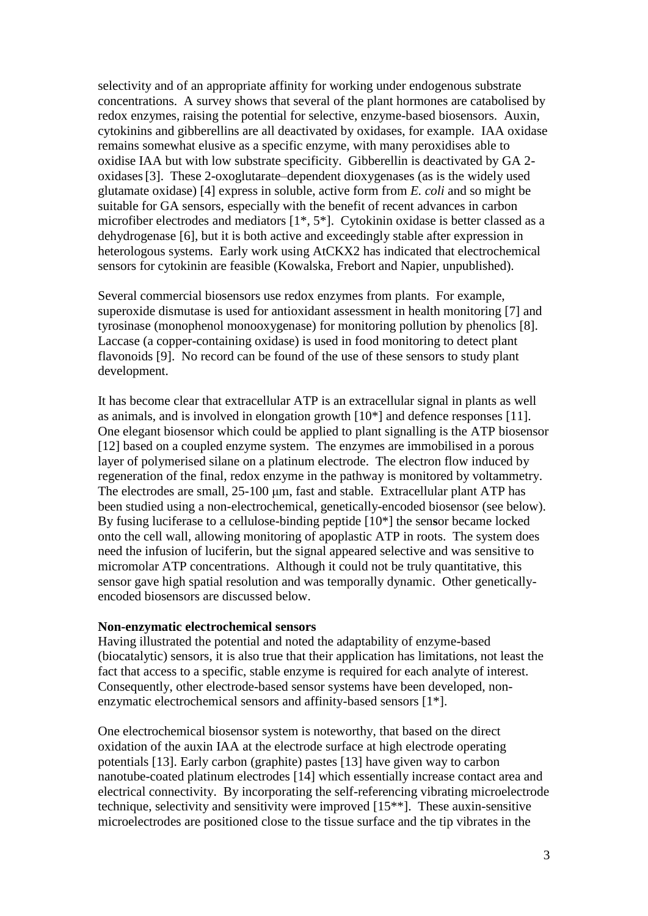selectivity and of an appropriate affinity for working under endogenous substrate concentrations. A survey shows that several of the plant hormones are catabolised by redox enzymes, raising the potential for selective, enzyme-based biosensors. Auxin, cytokinins and gibberellins are all deactivated by oxidases, for example. IAA oxidase remains somewhat elusive as a specific enzyme, with many peroxidises able to oxidise IAA but with low substrate specificity. Gibberellin is deactivated by GA 2 oxidases[3]. These 2-oxoglutarate–dependent dioxygenases (as is the widely used glutamate oxidase) [4] express in soluble, active form from *E. coli* and so might be suitable for GA sensors, especially with the benefit of recent advances in carbon microfiber electrodes and mediators [1\*, 5\*]. Cytokinin oxidase is better classed as a dehydrogenase [6], but it is both active and exceedingly stable after expression in heterologous systems. Early work using AtCKX2 has indicated that electrochemical sensors for cytokinin are feasible (Kowalska, Frebort and Napier, unpublished).

Several commercial biosensors use redox enzymes from plants. For example, superoxide dismutase is used for antioxidant assessment in health monitoring [7] and tyrosinase (monophenol monooxygenase) for monitoring pollution by phenolics [8]. Laccase (a copper-containing oxidase) is used in food monitoring to detect plant flavonoids [9]. No record can be found of the use of these sensors to study plant development.

It has become clear that extracellular ATP is an extracellular signal in plants as well as animals, and is involved in elongation growth [10\*] and defence responses [11]. One elegant biosensor which could be applied to plant signalling is the ATP biosensor [12] based on a coupled enzyme system. The enzymes are immobilised in a porous layer of polymerised silane on a platinum electrode. The electron flow induced by regeneration of the final, redox enzyme in the pathway is monitored by voltammetry. The electrodes are small, 25-100 μm, fast and stable. Extracellular plant ATP has been studied using a non-electrochemical, genetically-encoded biosensor (see below). By fusing luciferase to a cellulose-binding peptide [10\*] the sen**s**or became locked onto the cell wall, allowing monitoring of apoplastic ATP in roots. The system does need the infusion of luciferin, but the signal appeared selective and was sensitive to micromolar ATP concentrations. Although it could not be truly quantitative, this sensor gave high spatial resolution and was temporally dynamic. Other geneticallyencoded biosensors are discussed below.

#### **Non-enzymatic electrochemical sensors**

Having illustrated the potential and noted the adaptability of enzyme-based (biocatalytic) sensors, it is also true that their application has limitations, not least the fact that access to a specific, stable enzyme is required for each analyte of interest. Consequently, other electrode-based sensor systems have been developed, nonenzymatic electrochemical sensors and affinity-based sensors [1\*].

One electrochemical biosensor system is noteworthy, that based on the direct oxidation of the auxin IAA at the electrode surface at high electrode operating potentials [13]. Early carbon (graphite) pastes [13] have given way to carbon nanotube-coated platinum electrodes [14] which essentially increase contact area and electrical connectivity. By incorporating the self-referencing vibrating microelectrode technique, selectivity and sensitivity were improved [15\*\*]. These auxin-sensitive microelectrodes are positioned close to the tissue surface and the tip vibrates in the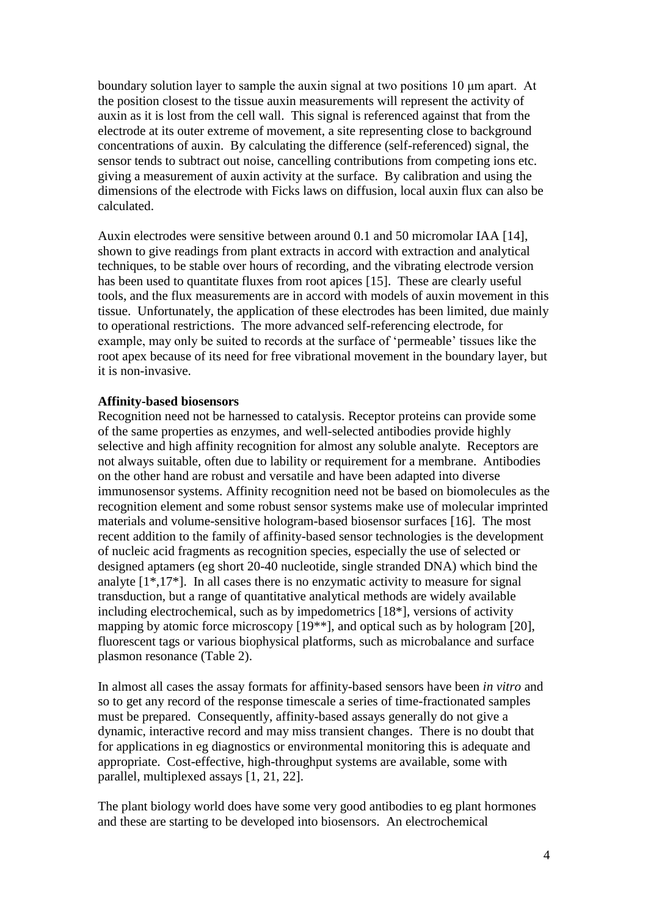boundary solution layer to sample the auxin signal at two positions 10 μm apart. At the position closest to the tissue auxin measurements will represent the activity of auxin as it is lost from the cell wall. This signal is referenced against that from the electrode at its outer extreme of movement, a site representing close to background concentrations of auxin. By calculating the difference (self-referenced) signal, the sensor tends to subtract out noise, cancelling contributions from competing ions etc. giving a measurement of auxin activity at the surface. By calibration and using the dimensions of the electrode with Ficks laws on diffusion, local auxin flux can also be calculated.

Auxin electrodes were sensitive between around 0.1 and 50 micromolar IAA [14], shown to give readings from plant extracts in accord with extraction and analytical techniques, to be stable over hours of recording, and the vibrating electrode version has been used to quantitate fluxes from root apices [15]. These are clearly useful tools, and the flux measurements are in accord with models of auxin movement in this tissue. Unfortunately, the application of these electrodes has been limited, due mainly to operational restrictions. The more advanced self-referencing electrode, for example, may only be suited to records at the surface of 'permeable' tissues like the root apex because of its need for free vibrational movement in the boundary layer, but it is non-invasive.

#### **Affinity-based biosensors**

Recognition need not be harnessed to catalysis. Receptor proteins can provide some of the same properties as enzymes, and well-selected antibodies provide highly selective and high affinity recognition for almost any soluble analyte. Receptors are not always suitable, often due to lability or requirement for a membrane. Antibodies on the other hand are robust and versatile and have been adapted into diverse immunosensor systems. Affinity recognition need not be based on biomolecules as the recognition element and some robust sensor systems make use of molecular imprinted materials and volume-sensitive hologram-based biosensor surfaces [16]. The most recent addition to the family of affinity-based sensor technologies is the development of nucleic acid fragments as recognition species, especially the use of selected or designed aptamers (eg short 20-40 nucleotide, single stranded DNA) which bind the analyte  $[1^*, 17^*]$ . In all cases there is no enzymatic activity to measure for signal transduction, but a range of quantitative analytical methods are widely available including electrochemical, such as by impedometrics [18\*], versions of activity mapping by atomic force microscopy [19<sup>\*\*</sup>], and optical such as by hologram [20], fluorescent tags or various biophysical platforms, such as microbalance and surface plasmon resonance (Table 2).

In almost all cases the assay formats for affinity-based sensors have been *in vitro* and so to get any record of the response timescale a series of time-fractionated samples must be prepared. Consequently, affinity-based assays generally do not give a dynamic, interactive record and may miss transient changes. There is no doubt that for applications in eg diagnostics or environmental monitoring this is adequate and appropriate. Cost-effective, high-throughput systems are available, some with parallel, multiplexed assays [1, 21, 22].

The plant biology world does have some very good antibodies to eg plant hormones and these are starting to be developed into biosensors. An electrochemical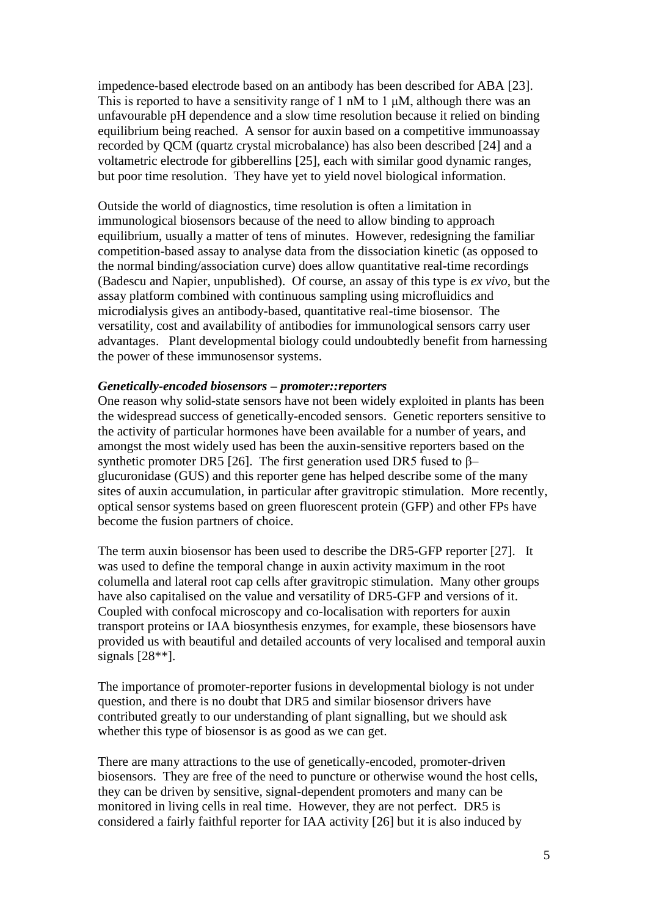impedence-based electrode based on an antibody has been described for ABA [23]. This is reported to have a sensitivity range of 1 nM to 1  $\mu$ M, although there was an unfavourable pH dependence and a slow time resolution because it relied on binding equilibrium being reached. A sensor for auxin based on a competitive immunoassay recorded by QCM (quartz crystal microbalance) has also been described [24] and a voltametric electrode for gibberellins [25], each with similar good dynamic ranges, but poor time resolution. They have yet to yield novel biological information.

Outside the world of diagnostics, time resolution is often a limitation in immunological biosensors because of the need to allow binding to approach equilibrium, usually a matter of tens of minutes. However, redesigning the familiar competition-based assay to analyse data from the dissociation kinetic (as opposed to the normal binding/association curve) does allow quantitative real-time recordings (Badescu and Napier, unpublished). Of course, an assay of this type is *ex vivo*, but the assay platform combined with continuous sampling using microfluidics and microdialysis gives an antibody-based, quantitative real-time biosensor. The versatility, cost and availability of antibodies for immunological sensors carry user advantages. Plant developmental biology could undoubtedly benefit from harnessing the power of these immunosensor systems.

## *Genetically-encoded biosensors – promoter::reporters*

One reason why solid-state sensors have not been widely exploited in plants has been the widespread success of genetically-encoded sensors. Genetic reporters sensitive to the activity of particular hormones have been available for a number of years, and amongst the most widely used has been the auxin-sensitive reporters based on the synthetic promoter DR5 [26]. The first generation used DR5 fused to β– glucuronidase (GUS) and this reporter gene has helped describe some of the many sites of auxin accumulation, in particular after gravitropic stimulation. More recently, optical sensor systems based on green fluorescent protein (GFP) and other FPs have become the fusion partners of choice.

The term auxin biosensor has been used to describe the DR5-GFP reporter [27]. It was used to define the temporal change in auxin activity maximum in the root columella and lateral root cap cells after gravitropic stimulation. Many other groups have also capitalised on the value and versatility of DR5-GFP and versions of it. Coupled with confocal microscopy and co-localisation with reporters for auxin transport proteins or IAA biosynthesis enzymes, for example, these biosensors have provided us with beautiful and detailed accounts of very localised and temporal auxin signals [28\*\*].

The importance of promoter-reporter fusions in developmental biology is not under question, and there is no doubt that DR5 and similar biosensor drivers have contributed greatly to our understanding of plant signalling, but we should ask whether this type of biosensor is as good as we can get.

There are many attractions to the use of genetically-encoded, promoter-driven biosensors. They are free of the need to puncture or otherwise wound the host cells, they can be driven by sensitive, signal-dependent promoters and many can be monitored in living cells in real time. However, they are not perfect. DR5 is considered a fairly faithful reporter for IAA activity [26] but it is also induced by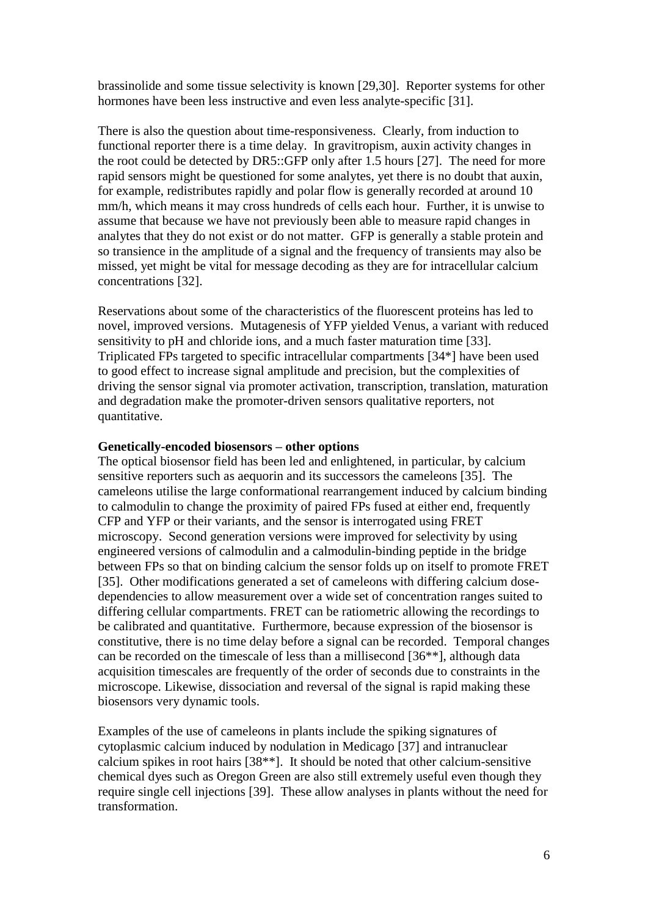brassinolide and some tissue selectivity is known [29,30]. Reporter systems for other hormones have been less instructive and even less analyte-specific [31].

There is also the question about time-responsiveness. Clearly, from induction to functional reporter there is a time delay. In gravitropism, auxin activity changes in the root could be detected by DR5::GFP only after 1.5 hours [27]. The need for more rapid sensors might be questioned for some analytes, yet there is no doubt that auxin, for example, redistributes rapidly and polar flow is generally recorded at around 10 mm/h, which means it may cross hundreds of cells each hour. Further, it is unwise to assume that because we have not previously been able to measure rapid changes in analytes that they do not exist or do not matter. GFP is generally a stable protein and so transience in the amplitude of a signal and the frequency of transients may also be missed, yet might be vital for message decoding as they are for intracellular calcium concentrations [32].

Reservations about some of the characteristics of the fluorescent proteins has led to novel, improved versions. Mutagenesis of YFP yielded Venus, a variant with reduced sensitivity to pH and chloride ions, and a much faster maturation time [33]. Triplicated FPs targeted to specific intracellular compartments [34\*] have been used to good effect to increase signal amplitude and precision, but the complexities of driving the sensor signal via promoter activation, transcription, translation, maturation and degradation make the promoter-driven sensors qualitative reporters, not quantitative.

### **Genetically-encoded biosensors – other options**

The optical biosensor field has been led and enlightened, in particular, by calcium sensitive reporters such as aequorin and its successors the cameleons [35]. The cameleons utilise the large conformational rearrangement induced by calcium binding to calmodulin to change the proximity of paired FPs fused at either end, frequently CFP and YFP or their variants, and the sensor is interrogated using FRET microscopy. Second generation versions were improved for selectivity by using engineered versions of calmodulin and a calmodulin-binding peptide in the bridge between FPs so that on binding calcium the sensor folds up on itself to promote FRET [35]. Other modifications generated a set of cameleons with differing calcium dosedependencies to allow measurement over a wide set of concentration ranges suited to differing cellular compartments. FRET can be ratiometric allowing the recordings to be calibrated and quantitative. Furthermore, because expression of the biosensor is constitutive, there is no time delay before a signal can be recorded. Temporal changes can be recorded on the timescale of less than a millisecond [36\*\*], although data acquisition timescales are frequently of the order of seconds due to constraints in the microscope. Likewise, dissociation and reversal of the signal is rapid making these biosensors very dynamic tools.

Examples of the use of cameleons in plants include the spiking signatures of cytoplasmic calcium induced by nodulation in Medicago [37] and intranuclear calcium spikes in root hairs [38\*\*]. It should be noted that other calcium-sensitive chemical dyes such as Oregon Green are also still extremely useful even though they require single cell injections [39]. These allow analyses in plants without the need for transformation.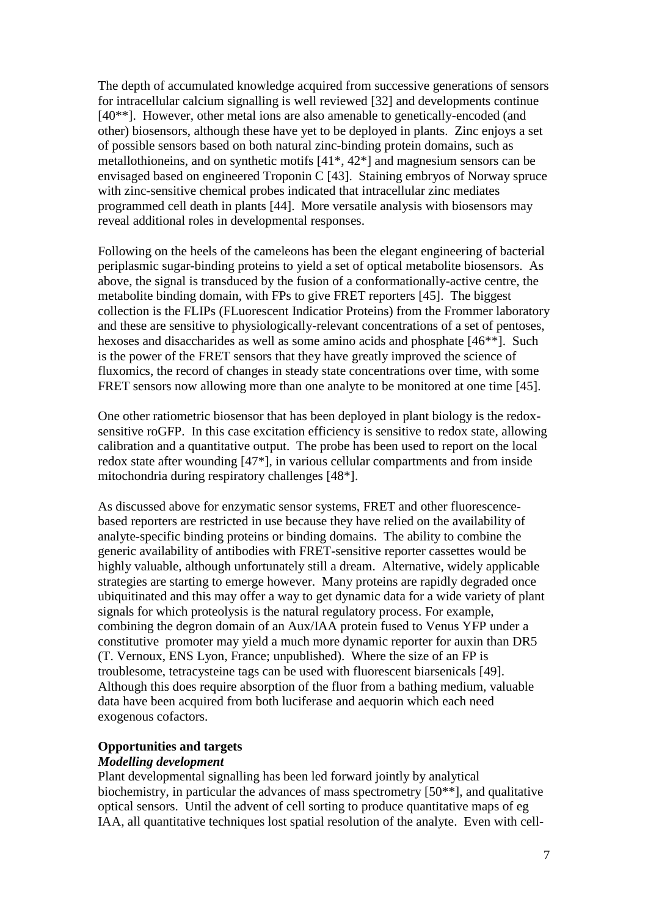The depth of accumulated knowledge acquired from successive generations of sensors for intracellular calcium signalling is well reviewed [32] and developments continue [40<sup>\*\*</sup>]. However, other metal ions are also amenable to genetically-encoded (and other) biosensors, although these have yet to be deployed in plants. Zinc enjoys a set of possible sensors based on both natural zinc-binding protein domains, such as metallothioneins, and on synthetic motifs [41\*, 42\*] and magnesium sensors can be envisaged based on engineered Troponin C [43]. Staining embryos of Norway spruce with zinc-sensitive chemical probes indicated that intracellular zinc mediates programmed cell death in plants [44]. More versatile analysis with biosensors may reveal additional roles in developmental responses.

Following on the heels of the cameleons has been the elegant engineering of bacterial periplasmic sugar-binding proteins to yield a set of optical metabolite biosensors. As above, the signal is transduced by the fusion of a conformationally-active centre, the metabolite binding domain, with FPs to give FRET reporters [45]. The biggest collection is the FLIPs (FLuorescent Indicatior Proteins) from the Frommer laboratory and these are sensitive to physiologically-relevant concentrations of a set of pentoses, hexoses and disaccharides as well as some amino acids and phosphate [46\*\*]. Such is the power of the FRET sensors that they have greatly improved the science of fluxomics, the record of changes in steady state concentrations over time, with some FRET sensors now allowing more than one analyte to be monitored at one time [45].

One other ratiometric biosensor that has been deployed in plant biology is the redoxsensitive roGFP. In this case excitation efficiency is sensitive to redox state, allowing calibration and a quantitative output. The probe has been used to report on the local redox state after wounding [47\*], in various cellular compartments and from inside mitochondria during respiratory challenges [48\*].

As discussed above for enzymatic sensor systems, FRET and other fluorescencebased reporters are restricted in use because they have relied on the availability of analyte-specific binding proteins or binding domains. The ability to combine the generic availability of antibodies with FRET-sensitive reporter cassettes would be highly valuable, although unfortunately still a dream. Alternative, widely applicable strategies are starting to emerge however. Many proteins are rapidly degraded once ubiquitinated and this may offer a way to get dynamic data for a wide variety of plant signals for which proteolysis is the natural regulatory process. For example, combining the degron domain of an Aux/IAA protein fused to Venus YFP under a constitutive promoter may yield a much more dynamic reporter for auxin than DR5 (T. Vernoux, ENS Lyon, France; unpublished). Where the size of an FP is troublesome, tetracysteine tags can be used with fluorescent biarsenicals [49]. Although this does require absorption of the fluor from a bathing medium, valuable data have been acquired from both luciferase and aequorin which each need exogenous cofactors.

# **Opportunities and targets**

## *Modelling development*

Plant developmental signalling has been led forward jointly by analytical biochemistry, in particular the advances of mass spectrometry [50\*\*], and qualitative optical sensors. Until the advent of cell sorting to produce quantitative maps of eg IAA, all quantitative techniques lost spatial resolution of the analyte. Even with cell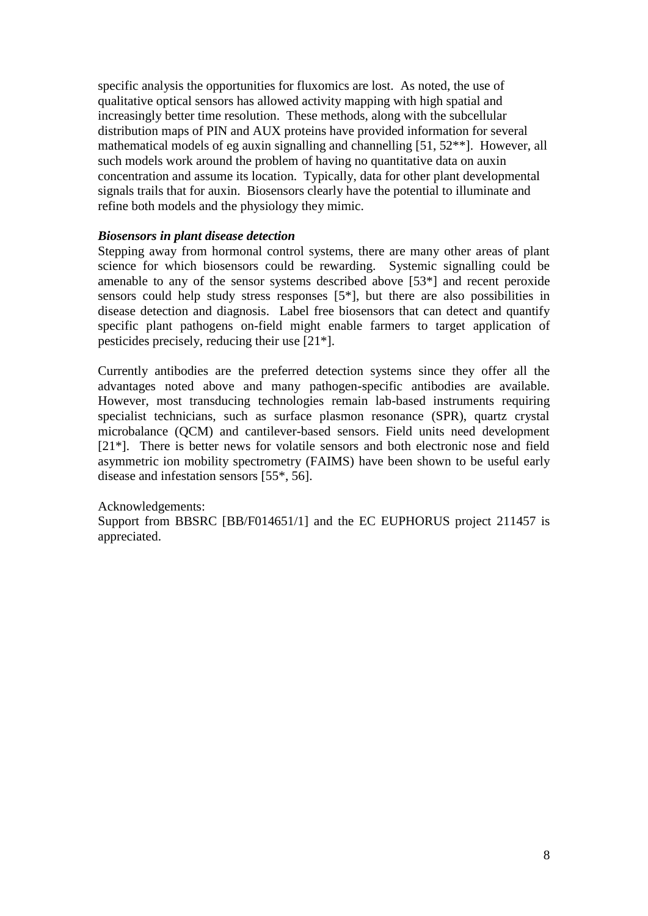specific analysis the opportunities for fluxomics are lost. As noted, the use of qualitative optical sensors has allowed activity mapping with high spatial and increasingly better time resolution. These methods, along with the subcellular distribution maps of PIN and AUX proteins have provided information for several mathematical models of eg auxin signalling and channelling [51, 52\*\*]. However, all such models work around the problem of having no quantitative data on auxin concentration and assume its location. Typically, data for other plant developmental signals trails that for auxin. Biosensors clearly have the potential to illuminate and refine both models and the physiology they mimic.

### *Biosensors in plant disease detection*

Stepping away from hormonal control systems, there are many other areas of plant science for which biosensors could be rewarding. Systemic signalling could be amenable to any of the sensor systems described above [53\*] and recent peroxide sensors could help study stress responses [5\*], but there are also possibilities in disease detection and diagnosis. Label free biosensors that can detect and quantify specific plant pathogens on-field might enable farmers to target application of pesticides precisely, reducing their use [21\*].

Currently antibodies are the preferred detection systems since they offer all the advantages noted above and many pathogen-specific antibodies are available. However, most transducing technologies remain lab-based instruments requiring specialist technicians, such as surface plasmon resonance (SPR), quartz crystal microbalance (QCM) and cantilever-based sensors. Field units need development [21<sup>\*</sup>]. There is better news for volatile sensors and both electronic nose and field asymmetric ion mobility spectrometry (FAIMS) have been shown to be useful early disease and infestation sensors [55\*, 56].

#### Acknowledgements:

Support from BBSRC [BB/F014651/1] and the EC EUPHORUS project 211457 is appreciated.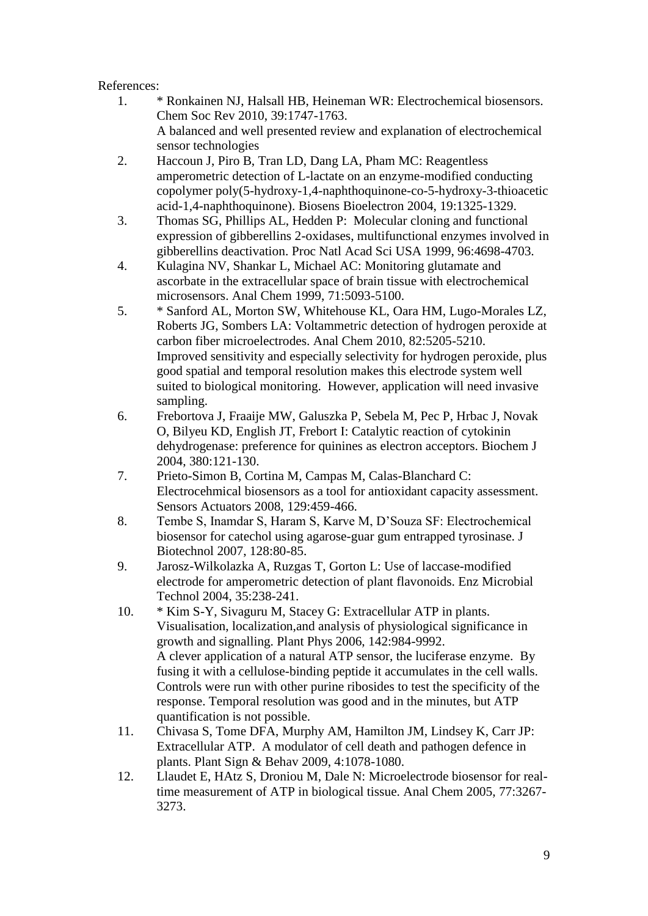## References:

- 1. \* Ronkainen NJ, Halsall HB, Heineman WR: Electrochemical biosensors. Chem Soc Rev 2010, 39:1747-1763. A balanced and well presented review and explanation of electrochemical sensor technologies
- 2. Haccoun J, Piro B, Tran LD, Dang LA, Pham MC: Reagentless amperometric detection of L-lactate on an enzyme-modified conducting copolymer poly(5-hydroxy-1,4-naphthoquinone-co-5-hydroxy-3-thioacetic acid-1,4-naphthoquinone). Biosens Bioelectron 2004, 19:1325-1329.
- 3. Thomas SG, Phillips AL, Hedden P: Molecular cloning and functional expression of gibberellins 2-oxidases, multifunctional enzymes involved in gibberellins deactivation. Proc Natl Acad Sci USA 1999, 96:4698-4703.
- 4. Kulagina NV, Shankar L, Michael AC: Monitoring glutamate and ascorbate in the extracellular space of brain tissue with electrochemical microsensors. Anal Chem 1999, 71:5093-5100.
- 5. \* Sanford AL, Morton SW, Whitehouse KL, Oara HM, Lugo-Morales LZ, Roberts JG, Sombers LA: Voltammetric detection of hydrogen peroxide at carbon fiber microelectrodes. Anal Chem 2010, 82:5205-5210. Improved sensitivity and especially selectivity for hydrogen peroxide, plus good spatial and temporal resolution makes this electrode system well suited to biological monitoring. However, application will need invasive sampling.
- 6. Frebortova J, Fraaije MW, Galuszka P, Sebela M, Pec P, Hrbac J, Novak O, Bilyeu KD, English JT, Frebort I: Catalytic reaction of cytokinin dehydrogenase: preference for quinines as electron acceptors. Biochem J 2004, 380:121-130.
- 7. Prieto-Simon B, Cortina M, Campas M, Calas-Blanchard C: Electrocehmical biosensors as a tool for antioxidant capacity assessment. Sensors Actuators 2008, 129:459-466.
- 8. Tembe S, Inamdar S, Haram S, Karve M, D'Souza SF: Electrochemical biosensor for catechol using agarose-guar gum entrapped tyrosinase. J Biotechnol 2007, 128:80-85.
- 9. Jarosz-Wilkolazka A, Ruzgas T, Gorton L: Use of laccase-modified electrode for amperometric detection of plant flavonoids. Enz Microbial Technol 2004, 35:238-241.
- 10. \* Kim S-Y, Sivaguru M, Stacey G: Extracellular ATP in plants. Visualisation, localization,and analysis of physiological significance in growth and signalling. Plant Phys 2006, 142:984-9992. A clever application of a natural ATP sensor, the luciferase enzyme. By fusing it with a cellulose-binding peptide it accumulates in the cell walls. Controls were run with other purine ribosides to test the specificity of the response. Temporal resolution was good and in the minutes, but ATP quantification is not possible.
- 11. Chivasa S, Tome DFA, Murphy AM, Hamilton JM, Lindsey K, Carr JP: Extracellular ATP. A modulator of cell death and pathogen defence in plants. Plant Sign & Behav 2009, 4:1078-1080.
- 12. Llaudet E, HAtz S, Droniou M, Dale N: Microelectrode biosensor for realtime measurement of ATP in biological tissue. Anal Chem 2005, 77:3267- 3273.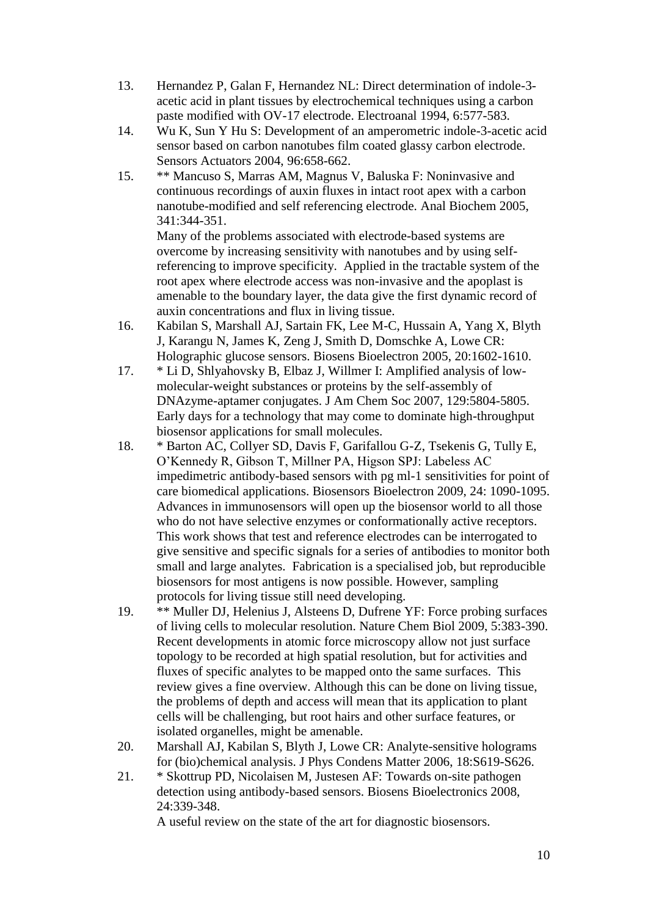- 13. Hernandez P, Galan F, Hernandez NL: Direct determination of indole-3 acetic acid in plant tissues by electrochemical techniques using a carbon paste modified with OV-17 electrode. Electroanal 1994, 6:577-583.
- 14. Wu K, Sun Y Hu S: Development of an amperometric indole-3-acetic acid sensor based on carbon nanotubes film coated glassy carbon electrode. Sensors Actuators 2004, 96:658-662.
- 15. \*\* Mancuso S, Marras AM, Magnus V, Baluska F: Noninvasive and continuous recordings of auxin fluxes in intact root apex with a carbon nanotube-modified and self referencing electrode. Anal Biochem 2005, 341:344-351.

Many of the problems associated with electrode-based systems are overcome by increasing sensitivity with nanotubes and by using selfreferencing to improve specificity. Applied in the tractable system of the root apex where electrode access was non-invasive and the apoplast is amenable to the boundary layer, the data give the first dynamic record of auxin concentrations and flux in living tissue.

- 16. Kabilan S, Marshall AJ, Sartain FK, Lee M-C, Hussain A, Yang X, Blyth J, Karangu N, James K, Zeng J, Smith D, Domschke A, Lowe CR: Holographic glucose sensors. Biosens Bioelectron 2005, 20:1602-1610.
- 17. \* Li D, Shlyahovsky B, Elbaz J, Willmer I: Amplified analysis of lowmolecular-weight substances or proteins by the self-assembly of DNAzyme-aptamer conjugates. J Am Chem Soc 2007, 129:5804-5805. Early days for a technology that may come to dominate high-throughput biosensor applications for small molecules.
- 18. \* Barton AC, Collyer SD, Davis F, Garifallou G-Z, Tsekenis G, Tully E, O'Kennedy R, Gibson T, Millner PA, Higson SPJ: Labeless AC impedimetric antibody-based sensors with pg ml-1 sensitivities for point of care biomedical applications. Biosensors Bioelectron 2009, 24: 1090-1095. Advances in immunosensors will open up the biosensor world to all those who do not have selective enzymes or conformationally active receptors. This work shows that test and reference electrodes can be interrogated to give sensitive and specific signals for a series of antibodies to monitor both small and large analytes. Fabrication is a specialised job, but reproducible biosensors for most antigens is now possible. However, sampling protocols for living tissue still need developing.
- 19. \*\* Muller DJ, Helenius J, Alsteens D, Dufrene YF: Force probing surfaces of living cells to molecular resolution. Nature Chem Biol 2009, 5:383-390. Recent developments in atomic force microscopy allow not just surface topology to be recorded at high spatial resolution, but for activities and fluxes of specific analytes to be mapped onto the same surfaces. This review gives a fine overview. Although this can be done on living tissue, the problems of depth and access will mean that its application to plant cells will be challenging, but root hairs and other surface features, or isolated organelles, might be amenable.
- 20. Marshall AJ, Kabilan S, Blyth J, Lowe CR: Analyte-sensitive holograms for (bio)chemical analysis. J Phys Condens Matter 2006, 18:S619-S626.
- 21. \* Skottrup PD, Nicolaisen M, Justesen AF: Towards on-site pathogen detection using antibody-based sensors. Biosens Bioelectronics 2008, 24:339-348.

A useful review on the state of the art for diagnostic biosensors.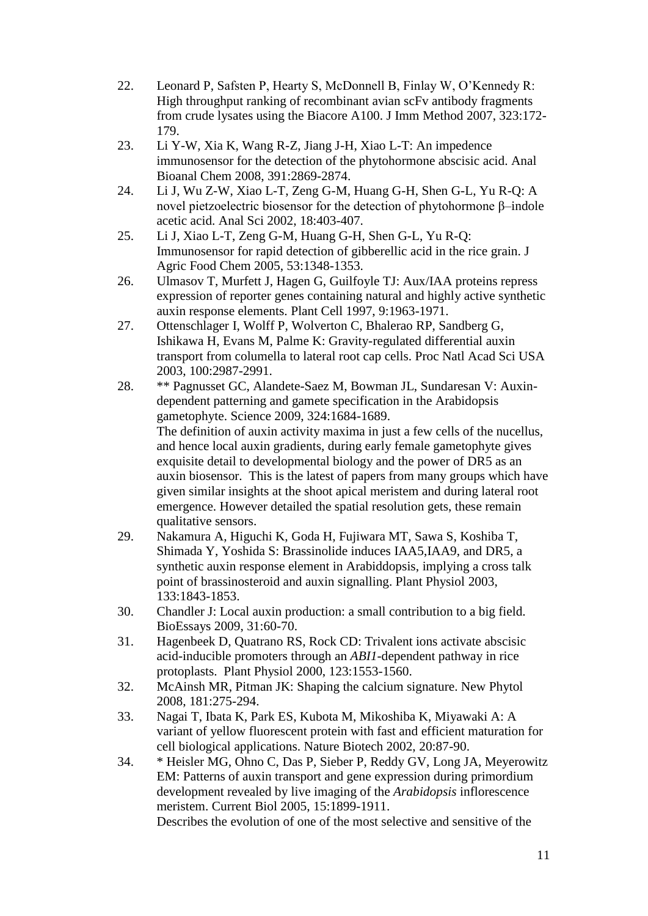- 22. Leonard P, Safsten P, Hearty S, McDonnell B, Finlay W, O'Kennedy R: High throughput ranking of recombinant avian scFv antibody fragments from crude lysates using the Biacore A100. J Imm Method 2007, 323:172- 179.
- 23. Li Y-W, Xia K, Wang R-Z, Jiang J-H, Xiao L-T: An impedence immunosensor for the detection of the phytohormone abscisic acid. Anal Bioanal Chem 2008, 391:2869-2874.
- 24. Li J, Wu Z-W, Xiao L-T, Zeng G-M, Huang G-H, Shen G-L, Yu R-Q: A novel pietzoelectric biosensor for the detection of phytohormone β–indole acetic acid. Anal Sci 2002, 18:403-407.
- 25. Li J, Xiao L-T, Zeng G-M, Huang G-H, Shen G-L, Yu R-Q: Immunosensor for rapid detection of gibberellic acid in the rice grain. J Agric Food Chem 2005, 53:1348-1353.
- 26. Ulmasov T, Murfett J, Hagen G, Guilfoyle TJ: Aux/IAA proteins repress expression of reporter genes containing natural and highly active synthetic auxin response elements. Plant Cell 1997, 9:1963-1971.
- 27. Ottenschlager I, Wolff P, Wolverton C, Bhalerao RP, Sandberg G, Ishikawa H, Evans M, Palme K: Gravity-regulated differential auxin transport from columella to lateral root cap cells. Proc Natl Acad Sci USA 2003, 100:2987-2991.
- 28. \*\* Pagnusset GC, Alandete-Saez M, Bowman JL, Sundaresan V: Auxindependent patterning and gamete specification in the Arabidopsis gametophyte. Science 2009, 324:1684-1689. The definition of auxin activity maxima in just a few cells of the nucellus, and hence local auxin gradients, during early female gametophyte gives exquisite detail to developmental biology and the power of DR5 as an auxin biosensor. This is the latest of papers from many groups which have given similar insights at the shoot apical meristem and during lateral root emergence. However detailed the spatial resolution gets, these remain qualitative sensors.
- 29. Nakamura A, Higuchi K, Goda H, Fujiwara MT, Sawa S, Koshiba T, Shimada Y, Yoshida S: Brassinolide induces IAA5,IAA9, and DR5, a synthetic auxin response element in Arabiddopsis, implying a cross talk point of brassinosteroid and auxin signalling. Plant Physiol 2003, 133:1843-1853.
- 30. Chandler J: Local auxin production: a small contribution to a big field. BioEssays 2009, 31:60-70.
- 31. Hagenbeek D, Quatrano RS, Rock CD: Trivalent ions activate abscisic acid-inducible promoters through an *ABI1*-dependent pathway in rice protoplasts. Plant Physiol 2000, 123:1553-1560.
- 32. McAinsh MR, Pitman JK: Shaping the calcium signature. New Phytol 2008, 181:275-294.
- 33. Nagai T, Ibata K, Park ES, Kubota M, Mikoshiba K, Miyawaki A: A variant of yellow fluorescent protein with fast and efficient maturation for cell biological applications. Nature Biotech 2002, 20:87-90.
- 34. \* Heisler MG, Ohno C, Das P, Sieber P, Reddy GV, Long JA, Meyerowitz EM: Patterns of auxin transport and gene expression during primordium development revealed by live imaging of the *Arabidopsis* inflorescence meristem. Current Biol 2005, 15:1899-1911. Describes the evolution of one of the most selective and sensitive of the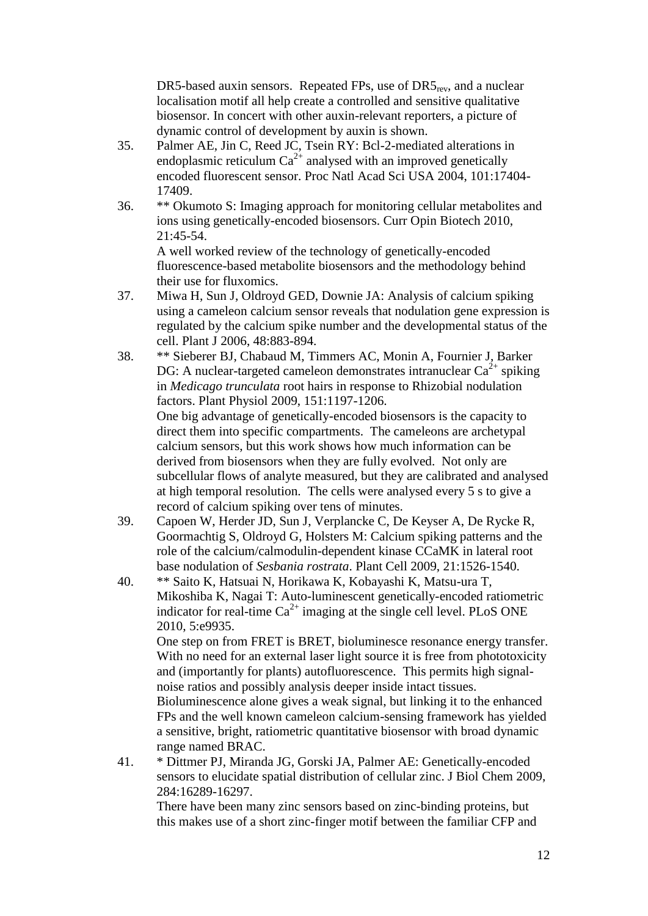DR5-based auxin sensors. Repeated FPs, use of  $DR5<sub>rev</sub>$ , and a nuclear localisation motif all help create a controlled and sensitive qualitative biosensor. In concert with other auxin-relevant reporters, a picture of dynamic control of development by auxin is shown.

- 35. Palmer AE, Jin C, Reed JC, Tsein RY: Bcl-2-mediated alterations in endoplasmic reticulum  $Ca^{2+}$  analysed with an improved genetically encoded fluorescent sensor. Proc Natl Acad Sci USA 2004, 101:17404- 17409.
- 36. \*\* Okumoto S: Imaging approach for monitoring cellular metabolites and ions using genetically-encoded biosensors. Curr Opin Biotech 2010, 21:45-54.

A well worked review of the technology of genetically-encoded fluorescence-based metabolite biosensors and the methodology behind their use for fluxomics.

- 37. Miwa H, Sun J, Oldroyd GED, Downie JA: Analysis of calcium spiking using a cameleon calcium sensor reveals that nodulation gene expression is regulated by the calcium spike number and the developmental status of the cell. Plant J 2006, 48:883-894.
- 38. \*\* Sieberer BJ, Chabaud M, Timmers AC, Monin A, Fournier J, Barker DG: A nuclear-targeted cameleon demonstrates intranuclear  $Ca^{2+}$  spiking in *Medicago trunculata* root hairs in response to Rhizobial nodulation factors. Plant Physiol 2009, 151:1197-1206. One big advantage of genetically-encoded biosensors is the capacity to direct them into specific compartments. The cameleons are archetypal calcium sensors, but this work shows how much information can be derived from biosensors when they are fully evolved. Not only are subcellular flows of analyte measured, but they are calibrated and analysed at high temporal resolution. The cells were analysed every 5 s to give a record of calcium spiking over tens of minutes.
- 39. Capoen W, Herder JD, Sun J, Verplancke C, De Keyser A, De Rycke R, Goormachtig S, Oldroyd G, Holsters M: Calcium spiking patterns and the role of the calcium/calmodulin-dependent kinase CCaMK in lateral root base nodulation of *Sesbania rostrata*. Plant Cell 2009, 21:1526-1540.
- 40. \*\* Saito K, Hatsuai N, Horikawa K, Kobayashi K, Matsu-ura T, Mikoshiba K, Nagai T: Auto-luminescent genetically-encoded ratiometric indicator for real-time  $Ca^{2+}$  imaging at the single cell level. PLoS ONE 2010, 5:e9935.

One step on from FRET is BRET, bioluminesce resonance energy transfer. With no need for an external laser light source it is free from phototoxicity and (importantly for plants) autofluorescence. This permits high signalnoise ratios and possibly analysis deeper inside intact tissues.

Bioluminescence alone gives a weak signal, but linking it to the enhanced FPs and the well known cameleon calcium-sensing framework has yielded a sensitive, bright, ratiometric quantitative biosensor with broad dynamic range named BRAC.

41. \* Dittmer PJ, Miranda JG, Gorski JA, Palmer AE: Genetically-encoded sensors to elucidate spatial distribution of cellular zinc. J Biol Chem 2009, 284:16289-16297.

There have been many zinc sensors based on zinc-binding proteins, but this makes use of a short zinc-finger motif between the familiar CFP and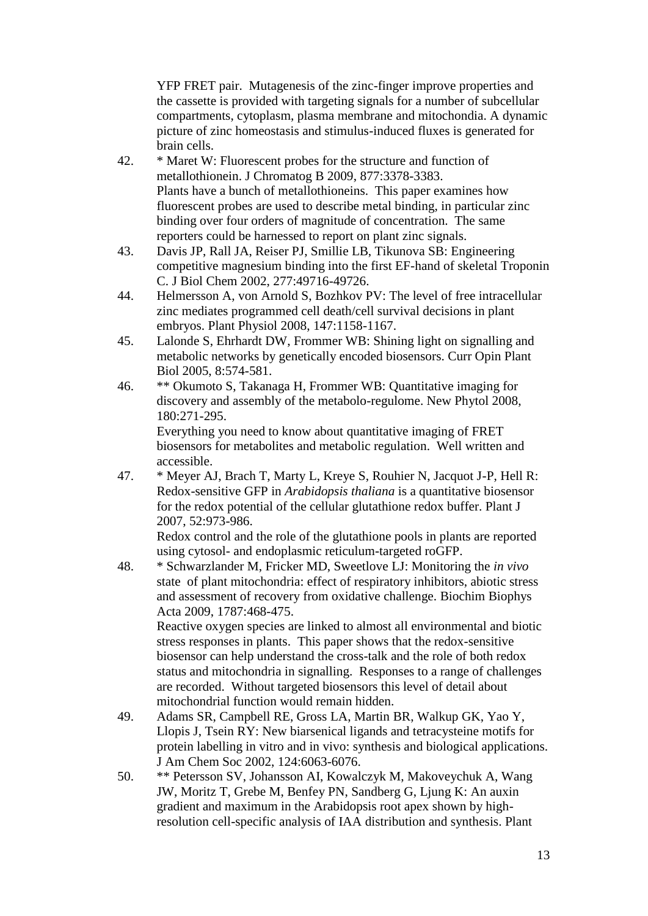YFP FRET pair. Mutagenesis of the zinc-finger improve properties and the cassette is provided with targeting signals for a number of subcellular compartments, cytoplasm, plasma membrane and mitochondia. A dynamic picture of zinc homeostasis and stimulus-induced fluxes is generated for brain cells.

- 42. \* Maret W: Fluorescent probes for the structure and function of metallothionein. J Chromatog B 2009, 877:3378-3383. Plants have a bunch of metallothioneins. This paper examines how fluorescent probes are used to describe metal binding, in particular zinc binding over four orders of magnitude of concentration. The same reporters could be harnessed to report on plant zinc signals.
- 43. Davis JP, Rall JA, Reiser PJ, Smillie LB, Tikunova SB: Engineering competitive magnesium binding into the first EF-hand of skeletal Troponin C. J Biol Chem 2002, 277:49716-49726.
- 44. Helmersson A, von Arnold S, Bozhkov PV: The level of free intracellular zinc mediates programmed cell death/cell survival decisions in plant embryos. Plant Physiol 2008, 147:1158-1167.
- 45. Lalonde S, Ehrhardt DW, Frommer WB: Shining light on signalling and metabolic networks by genetically encoded biosensors. Curr Opin Plant Biol 2005, 8:574-581.
- 46. \*\* Okumoto S, Takanaga H, Frommer WB: Quantitative imaging for discovery and assembly of the metabolo-regulome. New Phytol 2008, 180:271-295.

Everything you need to know about quantitative imaging of FRET biosensors for metabolites and metabolic regulation. Well written and accessible.

47. \* Meyer AJ, Brach T, Marty L, Kreye S, Rouhier N, Jacquot J-P, Hell R: Redox-sensitive GFP in *Arabidopsis thaliana* is a quantitative biosensor for the redox potential of the cellular glutathione redox buffer. Plant J 2007, 52:973-986.

Redox control and the role of the glutathione pools in plants are reported using cytosol- and endoplasmic reticulum-targeted roGFP.

48. \* Schwarzlander M, Fricker MD, Sweetlove LJ: Monitoring the *in vivo* state of plant mitochondria: effect of respiratory inhibitors, abiotic stress and assessment of recovery from oxidative challenge. Biochim Biophys Acta 2009, 1787:468-475.

Reactive oxygen species are linked to almost all environmental and biotic stress responses in plants. This paper shows that the redox-sensitive biosensor can help understand the cross-talk and the role of both redox status and mitochondria in signalling. Responses to a range of challenges are recorded. Without targeted biosensors this level of detail about mitochondrial function would remain hidden.

- 49. Adams SR, Campbell RE, Gross LA, Martin BR, Walkup GK, Yao Y, Llopis J, Tsein RY: New biarsenical ligands and tetracysteine motifs for protein labelling in vitro and in vivo: synthesis and biological applications. J Am Chem Soc 2002, 124:6063-6076.
- 50. \*\* Petersson SV, Johansson AI, Kowalczyk M, Makoveychuk A, Wang JW, Moritz T, Grebe M, Benfey PN, Sandberg G, Ljung K: An auxin gradient and maximum in the Arabidopsis root apex shown by highresolution cell-specific analysis of IAA distribution and synthesis. Plant